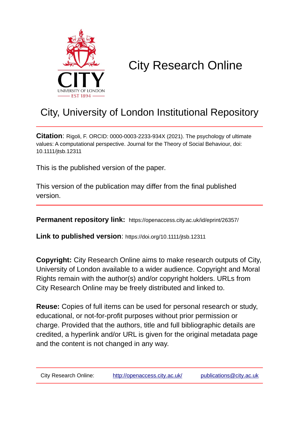

# City Research Online

## City, University of London Institutional Repository

**Citation**: Rigoli, F. ORCID: 0000-0003-2233-934X (2021). The psychology of ultimate values: A computational perspective. Journal for the Theory of Social Behaviour, doi: 10.1111/jtsb.12311

This is the published version of the paper.

This version of the publication may differ from the final published version.

**Permanent repository link:** https://openaccess.city.ac.uk/id/eprint/26357/

**Link to published version**: https://doi.org/10.1111/jtsb.12311

**Copyright:** City Research Online aims to make research outputs of City, University of London available to a wider audience. Copyright and Moral Rights remain with the author(s) and/or copyright holders. URLs from City Research Online may be freely distributed and linked to.

**Reuse:** Copies of full items can be used for personal research or study, educational, or not-for-profit purposes without prior permission or charge. Provided that the authors, title and full bibliographic details are credited, a hyperlink and/or URL is given for the original metadata page and the content is not changed in any way.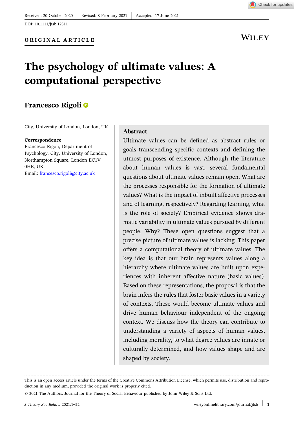

Check for updates

## **The psychology of ultimate values: A computational perspective**

## **Francesco Rigoli**

City, University of London, London, UK

#### **Correspondence**

Francesco Rigoli, Department of Psychology, City, University of London, Northampton Square, London EC1V 0HB, UK. Email: [francesco.rigoli@city.ac.uk](mailto:francesco.rigoli@city.ac.uk)

#### **Abstract**

Ultimate values can be defined as abstract rules or goals transcending specific contexts and defining the utmost purposes of existence. Although the literature about human values is vast, several fundamental questions about ultimate values remain open. What are the processes responsible for the formation of ultimate values? What is the impact of inbuilt affective processes and of learning, respectively? Regarding learning, what is the role of society? Empirical evidence shows dramatic variability in ultimate values pursued by different people. Why? These open questions suggest that a precise picture of ultimate values is lacking. This paper offers a computational theory of ultimate values. The key idea is that our brain represents values along a hierarchy where ultimate values are built upon experiences with inherent affective nature (basic values). Based on these representations, the proposal is that the brain infers the rules that foster basic values in a variety of contexts. These would become ultimate values and drive human behaviour independent of the ongoing context. We discuss how the theory can contribute to understanding a variety of aspects of human values, including morality, to what degree values are innate or culturally determined, and how values shape and are shaped by society.

This is an open access article under the terms of the Creative Commons Attribution License, which permits use, distribution and reproduction in any medium, provided the original work is properly cited.

<sup>©</sup> 2021 The Authors. Journal for the Theory of Social Behaviour published by John Wiley & Sons Ltd.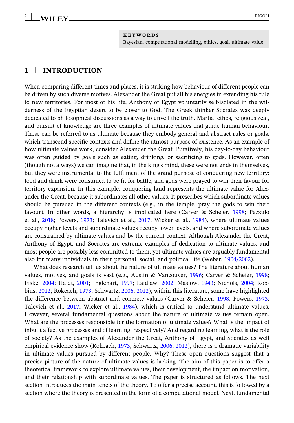#### **KEYWORDS**

Bayesian, computational modelling, ethics, goal, ultimate value

### **1** <sup>|</sup> **INTRODUCTION**

When comparing different times and places, it is striking how behaviour of different people can be driven by such diverse motives. Alexander the Great put all his energies in extending his rule to new territories. For most of his life, Anthony of Egypt voluntarily self‐isolated in the wilderness of the Egyptian desert to be closer to God. The Greek thinker Socrates was deeply dedicated to philosophical discussions as a way to unveil the truth. Martial ethos, religious zeal, and pursuit of knowledge are three examples of ultimate values that guide human behaviour. These can be referred to as ultimate because they embody general and abstract rules or goals, which transcend specific contexts and define the utmost purpose of existence. As an example of how ultimate values work, consider Alexander the Great. Putatively, his day‐to‐day behaviour was often guided by goals such as eating, drinking, or sacrificing to gods. However, often (though not always) we can imagine that, in the king's mind, these were not ends in themselves, but they were instrumental to the fulfilment of the grand purpose of conquering new territory: food and drink were consumed to be fit for battle, and gods were prayed to win their favour for territory expansion. In this example, conquering land represents the ultimate value for Alexander the Great, because it subordinates all other values. It prescribes which subordinate values should be pursued in the different contexts (e.g., in the temple, pray the gods to win their favour). In other words, a hierarchy is implicated here (Carver & Scheier, [1998](#page-20-0); Pezzulo et al., [2018;](#page-21-0) Powers, [1973;](#page-21-0) Talevich et al., [2017;](#page-21-0) Wicker et al., [1984](#page-22-0)), where ultimate values occupy higher levels and subordinate values occupy lower levels, and where subordinate values are constrained by ultimate values and by the current context. Although Alexander the Great, Anthony of Egypt, and Socrates are extreme examples of dedication to ultimate values, and most people are possibly less committed to them, yet ultimate values are arguably fundamental also for many individuals in their personal, social, and political life (Weber, [1904/2002](#page-21-0)).

What does research tell us about the nature of ultimate values? The literature about human values, motives, and goals is vast (e.g., Austin & Vancouver, [1996;](#page-19-0) Carver & Scheier, [1998;](#page-20-0) Fiske, [2004;](#page-20-0) Haidt, [2001;](#page-20-0) Inglehart, [1997;](#page-20-0) Laidlaw, [2002;](#page-20-0) Maslow, [1943;](#page-20-0) Nichols, [2004](#page-20-0); Robbins, [2012](#page-21-0); Rokeach, [1973;](#page-21-0) Schwartz, [2006](#page-21-0), [2012](#page-21-0)); within this literature, some have highlighted the difference between abstract and concrete values (Carver & Scheier, [1998;](#page-20-0) Powers, [1973;](#page-21-0) Talevich et al., [2017;](#page-21-0) Wicker et al., [1984](#page-22-0)), which is critical to understand ultimate values. However, several fundamental questions about the nature of ultimate values remain open. What are the processes responsible for the formation of ultimate values? What is the impact of inbuilt affective processes and of learning, respectively? And regarding learning, what is the role of society? As the examples of Alexander the Great, Anthony of Egypt, and Socrates as well empirical evidence show (Rokeach, [1973](#page-21-0); Schwartz, [2006](#page-21-0), [2012](#page-21-0)), there is a dramatic variability in ultimate values pursued by different people. Why? These open questions suggest that a precise picture of the nature of ultimate values is lacking. The aim of this paper is to offer a theoretical framework to explore ultimate values, their development, the impact on motivation, and their relationship with subordinate values. The paper is structured as follows. The next section introduces the main tenets of the theory. To offer a precise account, this is followed by a section where the theory is presented in the form of a computational model. Next, fundamental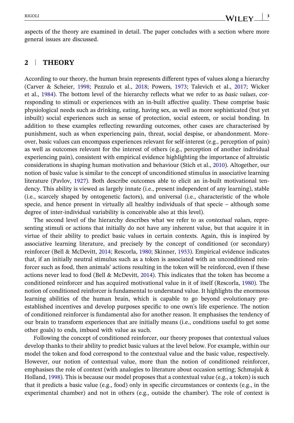aspects of the theory are examined in detail. The paper concludes with a section where more general issues are discussed.

#### **2** <sup>|</sup> **THEORY**

According to our theory, the human brain represents different types of values along a hierarchy (Carver & Scheier, [1998;](#page-20-0) Pezzulo et al., [2018;](#page-21-0) Powers, [1973](#page-21-0); Talevich et al., [2017](#page-21-0); Wicker et al., [1984](#page-22-0)). The bottom level of the hierarchy reflects what we refer to as *basic values*, corresponding to stimuli or experiences with an in‐built affective quality. These comprise basic physiological needs such as drinking, eating, having sex, as well as more sophisticated (but yet inbuilt) social experiences such as sense of protection, social esteem, or social bonding. In addition to these examples reflecting rewarding outcomes, other cases are characterised by punishment, such as when experiencing pain, threat, social despise, or abandonment. Moreover, basic values can encompass experiences relevant for self‐interest (e.g., perception of pain) as well as outcomes relevant for the interest of others (e.g., perception of another individual experiencing pain), consistent with empirical evidence highlighting the importance of altruistic considerations in shaping human motivation and behaviour (Stich et al., [2010\)](#page-21-0). Altogether, our notion of basic value is similar to the concept of unconditioned stimulus in associative learning literature (Pavlov, [1927\)](#page-21-0). Both describe outcomes able to elicit an in‐built motivational tendency. This ability is viewed as largely innate (i.e., present independent of any learning), stable (i.e., scarcely shaped by ontogenetic factors), and universal (i.e., characteristic of the whole specie, and hence present in virtually all healthy individuals of that specie – although some degree of inter‐individual variability is conceivable also at this level).

The second level of the hierarchy describes what we refer to as *contextual values*, representing stimuli or actions that initially do not have any inherent value, but that acquire it in virtue of their ability to predict basic values in certain contexts. Again, this is inspired by associative learning literature, and precisely by the concept of conditioned (or secondary) reinforcer (Bell & McDevitt, [2014;](#page-20-0) Rescorla, [1980](#page-21-0); Skinner, [1953](#page-21-0)). Empirical evidence indicates that, if an initially neutral stimulus such as a token is associated with an unconditioned reinforcer such as food, then animals' actions resulting in the token will be reinforced, even if these actions never lead to food (Bell & McDevitt,  $2014$ ). This indicates that the token has become a conditioned reinforcer and has acquired motivational value in it of itself (Rescorla, [1980\)](#page-21-0). The notion of conditioned reinforcer is fundamental to understand value. It highlights the enormous learning abilities of the human brain, which is capable to go beyond evolutionary pre‐ established incentives and develop purposes specific to one own's life experience. The notion of conditioned reinforcer is fundamental also for another reason. It emphasises the tendency of our brain to transform experiences that are initially means (i.e., conditions useful to get some other goals) to ends, imbued with value as such.

Following the concept of conditioned reinforcer, our theory proposes that contextual values develop thanks to their ability to predict basic values at the level below. For example, within our model the token and food correspond to the contextual value and the basic value, respectively. However, our notion of contextual value, more than the notion of conditioned reinforcer, emphasises the role of context (with analogies to literature about occasion setting; Schmajuk & Holland, [1998](#page-21-0)). This is because our model proposes that a contextual value (e.g., a token) is such that it predicts a basic value (e.g., food) only in specific circumstances or contexts (e.g., in the experimental chamber) and not in others (e.g., outside the chamber). The role of context is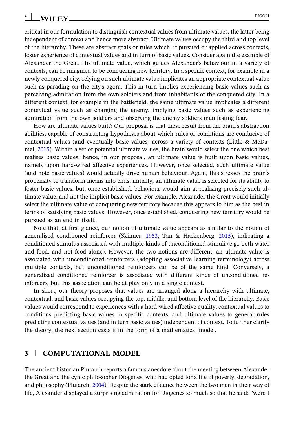critical in our formulation to distinguish contextual values from ultimate values, the latter being independent of context and hence more abstract. Ultimate values occupy the third and top level of the hierarchy. These are abstract goals or rules which, if pursued or applied across contexts, foster experience of contextual values and in turn of basic values. Consider again the example of Alexander the Great. His ultimate value, which guides Alexander's behaviour in a variety of contexts, can be imagined to be conquering new territory. In a specific context, for example in a newly conquered city, relying on such ultimate value implicates an appropriate contextual value such as parading on the city's agora. This in turn implies experiencing basic values such as perceiving admiration from the own soldiers and from inhabitants of the conquered city. In a different context, for example in the battlefield, the same ultimate value implicates a different contextual value such as charging the enemy, implying basic values such as experiencing admiration from the own soldiers and observing the enemy soldiers manifesting fear.

How are ultimate values built? Our proposal is that these result from the brain's abstraction abilities, capable of constructing hypotheses about which rules or conditions are conducive of contextual values (and eventually basic values) across a variety of contexts (Little & McDaniel, [2015\)](#page-20-0). Within a set of potential ultimate values, the brain would select the one which best realises basic values; hence, in our proposal, an ultimate value is built upon basic values, namely upon hard‐wired affective experiences. However, once selected, such ultimate value (and note basic values) would actually drive human behaviour. Again, this stresses the brain's propensity to transform means into ends: initially, an ultimate value is selected for its ability to foster basic values, but, once established, behaviour would aim at realising precisely such ultimate value, and not the implicit basic values. For example, Alexander the Great would initially select the ultimate value of conquering new territory because this appears to him as the best in terms of satisfying basic values. However, once established, conquering new territory would be pursued as an end in itself.

Note that, at first glance, our notion of ultimate value appears as similar to the notion of generalised conditioned reinforcer (Skinner, [1953](#page-21-0); Tan & Hackenberg, [2015\)](#page-21-0), indicating a conditioned stimulus associated with multiple kinds of unconditioned stimuli (e.g., both water and food, and not food alone). However, the two notions are different: an ultimate value is associated with unconditioned reinforcers (adopting associative learning terminology) across multiple contexts, but unconditioned reinforcers can be of the same kind. Conversely, a generalized conditioned reinforcer is associated with different kinds of unconditioned reinforcers, but this association can be at play only in a single context.

In short, our theory proposes that values are arranged along a hierarchy with ultimate, contextual, and basic values occupying the top, middle, and bottom level of the hierarchy. Basic values would correspond to experiences with a hard‐wired affective quality, contextual values to conditions predicting basic values in specific contexts, and ultimate values to general rules predicting contextual values (and in turn basic values) independent of context. To further clarify the theory, the next section casts it in the form of a mathematical model.

#### **3** <sup>|</sup> **COMPUTATIONAL MODEL**

The ancient historian Plutarch reports a famous anecdote about the meeting between Alexander the Great and the cynic philosopher Diogenes, who had opted for a life of poverty, degradation, and philosophy (Plutarch, [2004\)](#page-21-0). Despite the stark distance between the two men in their way of life, Alexander displayed a surprising admiration for Diogenes so much so that he said: "were I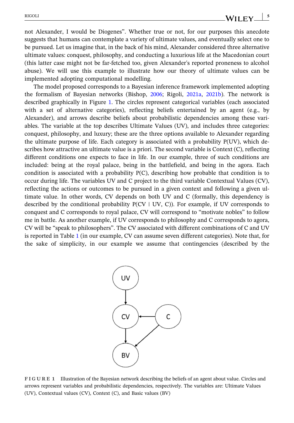not Alexander, I would be Diogenes". Whether true or not, for our purposes this anecdote suggests that humans can contemplate a variety of ultimate values, and eventually select one to be pursued. Let us imagine that, in the back of his mind, Alexander considered three alternative ultimate values: conquest, philosophy, and conducting a luxurious life at the Macedonian court (this latter case might not be far‐fetched too, given Alexander's reported proneness to alcohol abuse). We will use this example to illustrate how our theory of ultimate values can be implemented adopting computational modelling.

The model proposed corresponds to a Bayesian inference framework implemented adopting the formalism of Bayesian networks (Bishop, [2006;](#page-20-0) Rigoli, [2021a](#page-21-0), [2021b\)](#page-21-0). The network is described graphically in Figure 1. The circles represent categorical variables (each associated with a set of alternative categories), reflecting beliefs entertained by an agent (e.g., by Alexander), and arrows describe beliefs about probabilistic dependencies among these variables. The variable at the top describes Ultimate Values (UV), and includes three categories: conquest, philosophy, and luxury; these are the three options available to Alexander regarding the ultimate purpose of life. Each category is associated with a probability P(UV), which describes how attractive an ultimate value is a priori. The second variable is Context (C), reflecting different conditions one expects to face in life. In our example, three of such conditions are included: being at the royal palace, being in the battlefield, and being in the agora. Each condition is associated with a probability  $P(C)$ , describing how probable that condition is to occur during life. The variables UV and C project to the third variable Contextual Values (CV), reflecting the actions or outcomes to be pursued in a given context and following a given ultimate value. In other words, CV depends on both UV and C (formally, this dependency is described by the conditional probability  $P(CV | UV, C)$ ). For example, if UV corresponds to conquest and C corresponds to royal palace, CV will correspond to "motivate nobles" to follow me in battle. As another example, if UV corresponds to philosophy and C corresponds to agora, CV will be "speak to philosophers". The CV associated with different combinations of C and UV is reported in Table [1](#page-6-0) (in our example, CV can assume seven different categories). Note that, for the sake of simplicity, in our example we assume that contingencies (described by the



**FIGURE 1** Illustration of the Bayesian network describing the beliefs of an agent about value. Circles and arrows represent variables and probabilistic dependencies, respectively. The variables are: Ultimate Values (UV), Contextual values (CV), Context (C), and Basic values (BV)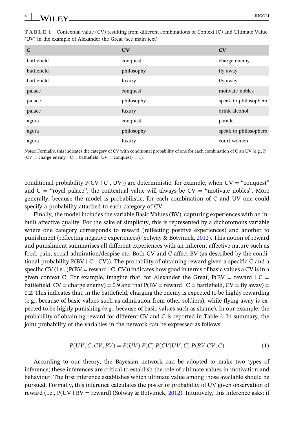<span id="page-6-0"></span>

| 6<br>$\overline{\phantom{a}}$<br>$\lambda$ ii ev<br>w<br>المستحققات والمستحدث | RIGOLI |
|-------------------------------------------------------------------------------|--------|
| -                                                                             |        |

| $\mathbf C$ | <b>UV</b>  | CV                    |
|-------------|------------|-----------------------|
| battlefield | conquest   | charge enemy          |
| battlefield | philosophy | fly away              |
| battlefield | luxury     | fly away              |
| palace      | conquest   | motivate nobles       |
| palace      | philosophy | speak to philosophers |
| palace      | luxury     | drink alcohol         |
| agora       | conquest   | parade                |
| agora       | philosophy | speak to philosophers |
| agora       | luxury     | court women           |

**TABLE 1** Contextual value (CV) resulting from different combinations of Context (C) and Ultimate Value (UV) in the example of Alexander the Great (see main text)

*Notes:* Formally, this indicates the category of CV with conditional probability of one for each combination of C an UV (e.g., P  $(CV = charge enemy \mid C = battlefield, UV = conquest) = 1$ .

conditional probability  $P(CV | C, UV)$  are deterministic: for example, when  $UV = "conquest"$ and  $C =$  "royal palace", the contextual value will always be  $CV =$  "motivate nobles". More generally, because the model is probabilistic, for each combination of C and UV one could specify a probability attached to each category of CV.

Finally, the model includes the variable Basic Values (BV), capturing experiences with an inbuilt affective quality. For the sake of simplicity, this is represented by a dichotomous variable where one category corresponds to reward (reflecting positive experiences) and another to punishment (reflecting negative experiences) (Solway & Botvinick, [2012](#page-21-0)). This notion of reward and punishment summarises all different experiences with an inherent affective nature such as food, pain, social admiration/despise etc. Both CV and C affect BV (as described by the conditional probability  $P(BV | C, CV)$ ). The probability of obtaining reward given a specific C and a specific CV (i.e.,  $(P(BV = reward \mid C, CV))$  indicates how good in terms of basic values a CV is in a given context C. For example, imagine that, for Alexander the Great,  $P(BV = reward | C =$ battlefield,  $CV = charge$  enemy) = 0.9 and that  $P(BV = reward \mid C = battlefield, CV = fly$  away) = 0.2. This indicates that, in the battlefield, charging the enemy is expected to be highly rewarding (e.g., because of basic values such as admiration from other soldiers), while flying away is expected to be highly punishing (e.g., because of basic values such as shame). In our example, the probability of obtaining reward for different CV and C is reported in Table [2](#page-7-0). In summary, the joint probability of the variables in the network can be expressed as follows:

$$
P(UV, C, CV, BV) = P(UV) P(C) P(CV|UV, C) P(BV|CV, C)
$$
\n
$$
(1)
$$

According to our theory, the Bayesian network can be adopted to make two types of inference; these inferences are critical to establish the role of ultimate values in motivation and behaviour. The first inference establishes which ultimate value among those available should be pursued. Formally, this inference calculates the posterior probability of UV given observation of reward (i.e.,  $P(UV | BV = reward)$  (Solway & Botvinick, [2012](#page-21-0)). Intuitively, this inference asks: if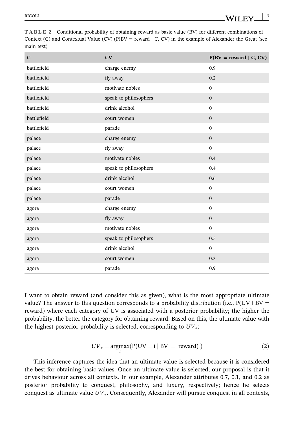| $\mathbf C$ | CV                    | $P(BV = reward   C, CV)$ |
|-------------|-----------------------|--------------------------|
| battlefield | charge enemy          | 0.9                      |
| battlefield | fly away              | 0.2                      |
| battlefield | motivate nobles       | $\mathbf{0}$             |
| battlefield | speak to philosophers | $\boldsymbol{0}$         |
| battlefield | drink alcohol         | $\mathbf{0}$             |
| battlefield | court women           | $\boldsymbol{0}$         |
| battlefield | parade                | $\boldsymbol{0}$         |
| palace      | charge enemy          | $\mathbf{0}$             |
| palace      | fly away              | $\mathbf{0}$             |
| palace      | motivate nobles       | 0.4                      |
| palace      | speak to philosophers | 0.4                      |
| palace      | drink alcohol         | 0.6                      |
| palace      | court women           | $\mathbf{0}$             |
| palace      | parade                | $\boldsymbol{0}$         |
| agora       | charge enemy          | $\mathbf{0}$             |
| agora       | fly away              | $\boldsymbol{0}$         |
| agora       | motivate nobles       | $\mathbf{0}$             |
| agora       | speak to philosophers | 0.5                      |
| agora       | drink alcohol         | $\boldsymbol{0}$         |
| agora       | court women           | 0.3                      |
| agora       | parade                | 0.9                      |

<span id="page-7-0"></span>**TABLE 2** Conditional probability of obtaining reward as basic value (BV) for different combinations of Context (C) and Contextual Value (CV) ( $P(BV = reward \mid C, CV)$  in the example of Alexander the Great (see main text)

I want to obtain reward (and consider this as given), what is the most appropriate ultimate value? The answer to this question corresponds to a probability distribution (i.e.,  $P(UV | BV =$ reward) where each category of UV is associated with a posterior probability; the higher the probability, the better the category for obtaining reward. Based on this, the ultimate value with the highest posterior probability is selected, corresponding to *UV*∗:

$$
UV_* = \underset{i}{\text{argmax}}(P(UV = i | BV = reward))
$$
 (2)

This inference captures the idea that an ultimate value is selected because it is considered the best for obtaining basic values. Once an ultimate value is selected, our proposal is that it drives behaviour across all contexts. In our example, Alexander attributes 0.7, 0.1, and 0.2 as posterior probability to conquest, philosophy, and luxury, respectively; hence he selects conquest as ultimate value *UV*∗. Consequently, Alexander will pursue conquest in all contexts,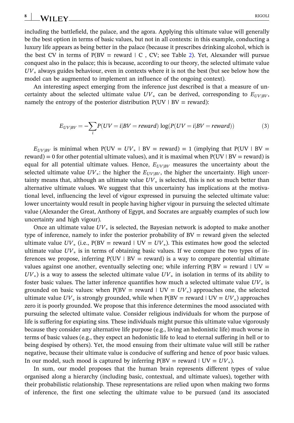#### <span id="page-8-0"></span>**8** WILEY RIGOLI

including the battlefield, the palace, and the agora. Applying this ultimate value will generally be the best option in terms of basic values, but not in all contexts: in this example, conducting a luxury life appears as being better in the palace (because it prescribes drinking alcohol, which is the best CV in terms of  $P(BV = reward \mid C, CV$ ; see Table [2](#page-7-0)). Yet, Alexander will pursue conquest also in the palace; this is because, according to our theory, the selected ultimate value *UV*<sup>∗</sup> always guides behaviour, even in contexts where it is not the best (but see below how the model can be augmented to implement an influence of the ongoing context).

An interesting aspect emerging from the inference just described is that a measure of uncertainty about the selected ultimate value  $UV_*$  can be derived, corresponding to  $E_{UV|BV}$ , namely the entropy of the posterior distribution  $P(UV | BV = reward)$ :

$$
E_{UV|BV} = -\sum_{i} P(UV = i|BV = reward) \log(P(UV = i|BV = reward))
$$
\n(3)

 $E_{UV|BV}$  is minimal when P(UV =  $UV_*$  | BV = reward) = 1 (implying that P(UV | BV = reward) = 0 for other potential ultimate values), and it is maximal when  $P(UV | BV = reward)$  is equal for all potential ultimate values. Hence,  $E_{UV|BV}$  measures the uncertainty about the selected ultimate value  $UV_*$ : the higher the  $E_{UV|BV}$ , the higher the uncertainty. High uncertainty means that, although an ultimate value *UV*<sup>∗</sup> is selected, this is not so much better than alternative ultimate values. We suggest that this uncertainty has implications at the motivational level, influencing the level of vigour expressed in pursuing the selected ultimate value: lower uncertainty would result in people having higher vigour in pursuing the selected ultimate value (Alexander the Great, Anthony of Egypt, and Socrates are arguably examples of such low uncertainty and high vigour).

Once an ultimate value *UV*<sup>∗</sup> is selected, the Bayesian network is adopted to make another type of inference, namely to infer the posterior probability of  $BV =$  reward given the selected ultimate value  $UV_*$  (i.e.,  $P(BV = reward | UV = UV_*)$ ). This estimates how good the selected ultimate value  $UV_*$  is in terms of obtaining basic values. If we compare the two types of inferences we propose, inferring  $P(UV | BV = reward)$  is a way to compare potential ultimate values against one another, eventually selecting one; while inferring  $P(BV = reward | UV =$  $UV_*$ ) is a way to assess the selected ultimate value  $UV_*$  in isolation in terms of its ability to foster basic values. The latter inference quantifies how much a selected ultimate value *UV*<sup>∗</sup> is grounded on basic values: when  $P(BV = reward \mid UV = UV_*)$  approaches one, the selected ultimate value  $UV_*$  is strongly grounded, while when  $P(BV = reward | UV = UV_*)$  approaches zero it is poorly grounded. We propose that this inference determines the mood associated with pursuing the selected ultimate value. Consider religious individuals for whom the purpose of life is suffering for expiating sins. These individuals might pursue this ultimate value vigorously because they consider any alternative life purpose (e.g., living an hedonistic life) much worse in terms of basic values (e.g., they expect an hedonistic life to lead to eternal suffering in hell or to being despised by others). Yet, the mood ensuing from their ultimate value will still be rather negative, because their ultimate value is conducive of suffering and hence of poor basic values. In our model, such mood is captured by inferring  $P(BV = reward | UV = UV<sub>*</sub>)$ .

In sum, our model proposes that the human brain represents different types of value organised along a hierarchy (including basic, contextual, and ultimate values), together with their probabilistic relationship. These representations are relied upon when making two forms of inference, the first one selecting the ultimate value to be pursued (and its associated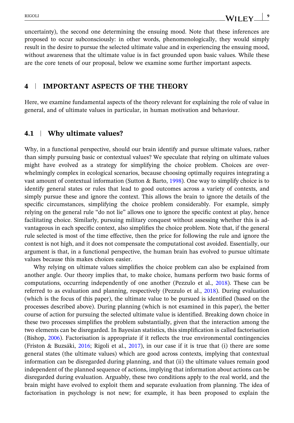uncertainty), the second one determining the ensuing mood. Note that these inferences are proposed to occur subconsciously: in other words, phenomenologically, they would simply result in the desire to pursue the selected ultimate value and in experiencing the ensuing mood, without awareness that the ultimate value is in fact grounded upon basic values. While these are the core tenets of our proposal, below we examine some further important aspects.

### **4** <sup>|</sup> **IMPORTANT ASPECTS OF THE THEORY**

Here, we examine fundamental aspects of the theory relevant for explaining the role of value in general, and of ultimate values in particular, in human motivation and behaviour.

#### **4.1** <sup>|</sup> **Why ultimate values?**

Why, in a functional perspective, should our brain identify and pursue ultimate values, rather than simply pursuing basic or contextual values? We speculate that relying on ultimate values might have evolved as a strategy for simplifying the choice problem. Choices are overwhelmingly complex in ecological scenarios, because choosing optimally requires integrating a vast amount of contextual information (Sutton & Barto, [1998](#page-21-0)). One way to simplify choice is to identify general states or rules that lead to good outcomes across a variety of contexts, and simply pursue these and ignore the context. This allows the brain to ignore the details of the specific circumstances, simplifying the choice problem considerably. For example, simply relying on the general rule "do not lie" allows one to ignore the specific context at play, hence facilitating choice. Similarly, pursuing military conquest without assessing whether this is advantageous in each specific context, also simplifies the choice problem. Note that, if the general rule selected is most of the time effective, then the price for following the rule and ignore the context is not high, and it does not compensate the computational cost avoided. Essentially, our argument is that, in a functional perspective, the human brain has evolved to pursue ultimate values because this makes choices easier.

Why relying on ultimate values simplifies the choice problem can also be explained from another angle. Our theory implies that, to make choice, humans perform two basic forms of computations, occurring independently of one another (Pezzulo et al., [2018](#page-21-0)). These can be referred to as evaluation and planning, respectively (Pezzulo et al., [2018](#page-21-0)). During evaluation (which is the focus of this paper), the ultimate value to be pursued is identified (based on the processes described above). During planning (which is not examined in this paper), the better course of action for pursuing the selected ultimate value is identified. Breaking down choice in these two processes simplifies the problem substantially, given that the interaction among the two elements can be disregarded. In Bayesian statistics, this simplification is called factorisation (Bishop, [2006\)](#page-20-0). Factorisation is appropriate if it reflects the true environmental contingencies (Friston & Buzsáki, [2016;](#page-20-0) Rigoli et al., [2017\)](#page-21-0), in our case if it is true that (i) there are some general states (the ultimate values) which are good across contexts, implying that contextual information can be disregarded during planning, and that (ii) the ultimate values remain good independent of the planned sequence of actions, implying that information about actions can be disregarded during evaluation. Arguably, these two conditions apply to the real world, and the brain might have evolved to exploit them and separate evaluation from planning. The idea of factorisation in psychology is not new; for example, it has been proposed to explain the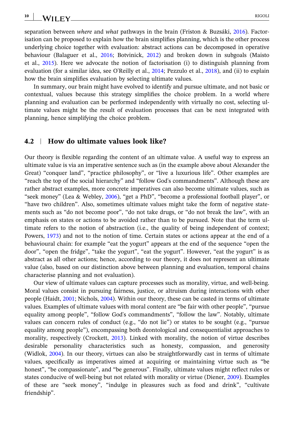**10**

separation between *where* and *what* pathways in the brain (Friston & Buzsáki, [2016\)](#page-20-0). Factorisation can be proposed to explain how the brain simplifies planning, which is the other process underlying choice together with evaluation: abstract actions can be decomposed in operative behaviour (Balaguer et al., [2016;](#page-19-0) Botvinick, [2012\)](#page-20-0) and broken down in subgoals (Maisto et al., [2015\)](#page-20-0). Here we advocate the notion of factorisation (i) to distinguish planning from evaluation (for a similar idea, see O'Reilly et al., [2014;](#page-21-0) Pezzulo et al., [2018](#page-21-0)), and (ii) to explain how the brain simplifies evaluation by selecting ultimate values.

In summary, our brain might have evolved to identify and pursue ultimate, and not basic or contextual, values because this strategy simplifies the choice problem. In a world where planning and evaluation can be performed independently with virtually no cost, selecting ultimate values might be the result of evaluation processes that can be next integrated with planning, hence simplifying the choice problem.

#### **4.2** <sup>|</sup> **How do ultimate values look like?**

Our theory is flexible regarding the content of an ultimate value. A useful way to express an ultimate value is via an imperative sentence such as (in the example above about Alexander the Great) "conquer land", "practice philosophy", or "live a luxurious life". Other examples are "reach the top of the social hierarchy" and "follow God's commandments". Although these are rather abstract examples, more concrete imperatives can also become ultimate values, such as "seek money" (Lea & Webley, [2006](#page-20-0)), "get a PhD", "become a professional football player", or "have two children". Also, sometimes ultimate values might take the form of negative statements such as "do not become poor", "do not take drugs, or "do not break the law", with an emphasis on states or actions to be avoided rather than to be pursued. Note that the term ultimate refers to the notion of abstraction (i.e., the quality of being independent of context; Powers, [1973\)](#page-21-0) and not to the notion of time. Certain states or actions appear at the end of a behavioural chain: for example "eat the yogurt" appears at the end of the sequence "open the door", "open the fridge", "take the yogurt", "eat the yogurt". However, "eat the yogurt" is as abstract as all other actions; hence, according to our theory, it does not represent an ultimate value (also, based on our distinction above between planning and evaluation, temporal chains characterise planning and not evaluation).

Our view of ultimate values can capture processes such as morality, virtue, and well-being. Moral values consist in pursuing fairness, justice, or altruism during interactions with other people (Haidt, [2001](#page-20-0); Nichols, [2004\)](#page-20-0). Within our theory, these can be casted in terms of ultimate values. Examples of ultimate values with moral content are "be fair with other people", "pursue equality among people", "follow God's commandments", "follow the law". Notably, ultimate values can concern rules of conduct (e.g., "do not lie") or states to be sought (e.g., "pursue equality among people"), encompassing both deontological and consequentialist approaches to morality, respectively (Crockett, [2013\)](#page-20-0). Linked with morality, the notion of virtue describes desirable personality characteristics such as honesty, compassion, and generosity (Widlok, [2004\)](#page-22-0). In our theory, virtues can also be straightforwardly cast in terms of ultimate values, specifically as imperatives aimed at acquiring or maintaining virtue such as "be honest", "be compassionate", and "be generous". Finally, ultimate values might reflect rules or states conducive of well‐being but not related with morality or virtue (Diener, [2009](#page-20-0)). Examples of these are "seek money", "indulge in pleasures such as food and drink", "cultivate friendship".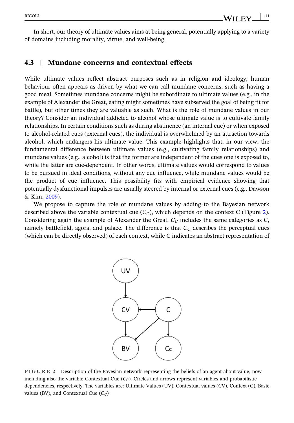In short, our theory of ultimate values aims at being general, potentially applying to a variety of domains including morality, virtue, and well‐being.

#### **4.3** <sup>|</sup> **Mundane concerns and contextual effects**

While ultimate values reflect abstract purposes such as in religion and ideology, human behaviour often appears as driven by what we can call mundane concerns, such as having a good meal. Sometimes mundane concerns might be subordinate to ultimate values (e.g., in the example of Alexander the Great, eating might sometimes have subserved the goal of being fit for battle), but other times they are valuable as such. What is the role of mundane values in our theory? Consider an individual addicted to alcohol whose ultimate value is to cultivate family relationships. In certain conditions such as during abstinence (an internal cue) or when exposed to alcohol‐related cues (external cues), the individual is overwhelmed by an attraction towards alcohol, which endangers his ultimate value. This example highlights that, in our view, the fundamental difference between ultimate values (e.g., cultivating family relationships) and mundane values (e.g., alcohol) is that the former are independent of the cues one is exposed to, while the latter are cue-dependent. In other words, ultimate values would correspond to values to be pursued in ideal conditions, without any cue influence, while mundane values would be the product of cue influence. This possibility fits with empirical evidence showing that potentially dysfunctional impulses are usually steered by internal or external cues (e.g., Dawson & Kim, [2009](#page-20-0)).

We propose to capture the role of mundane values by adding to the Bayesian network described above the variable contextual cue  $(C<sub>C</sub>)$ , which depends on the context C (Figure 2). Considering again the example of Alexander the Great,  $C_C$  includes the same categories as C, namely battlefield, agora, and palace. The difference is that  $C_C$  describes the perceptual cues (which can be directly observed) of each context, while C indicates an abstract representation of



**FIGURE 2** Description of the Bayesian network representing the beliefs of an agent about value, now including also the variable Contextual Cue  $(C<sub>C</sub>)$ . Circles and arrows represent variables and probabilistic dependencies, respectively. The variables are: Ultimate Values (UV), Contextual values (CV), Context (C), Basic values (BV), and Contextual Cue  $(C_C)$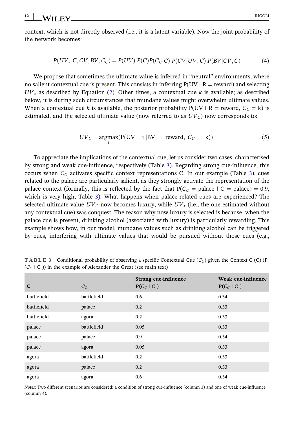<span id="page-12-0"></span>context, which is not directly observed (i.e., it is a latent variable). Now the joint probability of the network becomes:

$$
P(UV, C, CV, BV, C_C) = P(UV) P(C) P(C_C|C) P(CV|UV, C) P(BV|CV, C)
$$
 (4)

We propose that sometimes the ultimate value is inferred in "neutral" environments, where no salient contextual cue is present. This consists in inferring  $P(UV | R = reward)$  and selecting *UV*<sup>∗</sup> as described by Equation [\(2](#page-7-0)). Other times, a contextual cue *k* is available; as described below, it is during such circumstances that mundane values might overwhelm ultimate values. When a contextual cue *k* is available, the posterior probability  $P(UV | R = reward, C<sub>C</sub> = k)$  is estimated, and the selected ultimate value (now referred to as  $UV<sub>C</sub>$ ) now corresponds to:

$$
UV_C = \underset{i}{\text{argmax}} (P(UV = i | BV = \text{reward}, C_C = k))
$$
 (5)

To appreciate the implications of the contextual cue, let us consider two cases, characterised by strong and weak cue‐influence, respectively (Table 3). Regarding strong cue‐influence, this occurs when  $C_c$  activates specific context representations C. In our example (Table 3), cues related to the palace are particularly salient, as they strongly activate the representation of the palace context (formally, this is reflected by the fact that  $P(C_C =$  palace  $| C =$  palace) = 0.9, which is very high; Table 3). What happens when palace-related cues are experienced? The selected ultimate value  $UV<sub>C</sub>$  now becomes luxury, while  $UV_*$  (i.e., the one estimated without any contextual cue) was conquest. The reason why now luxury is selected is because, when the palace cue is present, drinking alcohol (associated with luxury) is particularly rewarding. This example shows how, in our model, mundane values such as drinking alcohol can be triggered by cues, interfering with ultimate values that would be pursued without those cues (e.g.,

| $\mathbf C$ | $C_C$       | <b>Strong cue-influence</b><br>$P(C_C   C)$ | Weak cue-influence<br>$P(C_C   C)$ |
|-------------|-------------|---------------------------------------------|------------------------------------|
| battlefield | battlefield | 0.6                                         | 0.34                               |
| battlefield | palace      | 0.2                                         | 0.33                               |
| battlefield | agora       | 0.2                                         | 0.33                               |
| palace      | battlefield | 0.05                                        | 0.33                               |
| palace      | palace      | 0.9                                         | 0.34                               |
| palace      | agora       | 0.05                                        | 0.33                               |
| agora       | battlefield | 0.2                                         | 0.33                               |
| agora       | palace      | 0.2                                         | 0.33                               |
| agora       | agora       | 0.6                                         | 0.34                               |

**TABLE 3** Conditional probability of observing a specific Contextual Cue  $(C<sub>C</sub>)$  given the Context C (C) (P  $(C_C | C)$ ) in the example of Alexander the Great (see main text)

*Notes:* Two different scenarios are considered: a condition of strong cue-influence (column 3) and one of weak cue-influence (column 4).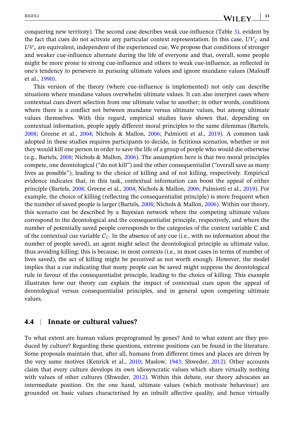conquering new territory). The second case describes weak cue-influence (Table [3](#page-12-0)), evident by the fact that cues do not activate any particular context representation. In this case,  $UV<sub>C</sub>$  and *UV*<sup>∗</sup> are equivalent, independent of the experienced cue. We propose that conditions of stronger and weaker cue‐influence alternate during the life of everyone and that, overall, some people might be more prone to strong cue-influence and others to weak cue-influence, as reflected in one's tendency to persevere in pursuing ultimate values and ignore mundane values (Malouff et al., [1990](#page-20-0)).

This version of the theory (where cue-influence is implemented) not only can describe situations where mundane values overwhelm ultimate values. It can also interpret cases where contextual cues divert selection from one ultimate value to another; in other words, conditions where there is a conflict not between mundane versus ultimate values, but among ultimate values themselves. With this regard, empirical studies have shown that, depending on contextual information, people apply different moral principles to the same dilemmas (Bartels, [2008](#page-19-0); Greene et al., [2004](#page-20-0); Nichols & Mallon, [2006;](#page-20-0) Palmiotti et al., [2019](#page-21-0)). A common task adopted in these studies requires participants to decide, in fictitious scenarios, whether or not they would kill one person in order to save the life of a group of people who would die otherwise (e.g., Bartels, [2008](#page-19-0); Nichols & Mallon, [2006\)](#page-20-0). The assumption here is that two moral principles compete, one deontological ("do not kill") and the other consequentialist ("overall save as many lives as possible"), leading to the choice of killing and of not killing, respectively. Empirical evidence indicates that, in this task, contextual information can boost the appeal of either principle (Bartels, [2008;](#page-19-0) Greene et al., [2004;](#page-20-0) Nichols & Mallon, [2006](#page-20-0); Palmiotti et al., [2019\)](#page-21-0). For example, the choice of killing (reflecting the consequentialist principle) is more frequent when the number of saved people is larger (Bartels, [2008;](#page-19-0) Nichols & Mallon, [2006](#page-20-0)). Within our theory, this scenario can be described by a Bayesian network where the competing ultimate values correspond to the deontological and the consequentialist principle, respectively, and where the number of potentially saved people corresponds to the categories of the context variable C and of the contextual cue variable  $C_c$ . In the absence of any cue (i.e., with no information about the number of people saved), an agent might select the deontological principle as ultimate value, thus avoiding killing; this is because, in most contexts (i.e., in most cases in terms of number of lives saved), the act of killing might be perceived as not worth enough. However, the model implies that a cue indicating that many people can be saved might suppress the deontological rule in favour of the consequentialist principle, leading to the choice of killing. This example illustrates how our theory can explain the impact of contextual cues upon the appeal of deontological versus consequentialist principles, and in general upon competing ultimate values.

#### **4.4** <sup>|</sup> **Innate or cultural values?**

To what extent are human values preprogramed by genes? And to what extent are they produced by culture? Regarding these questions, extreme positions can be found in the literature. Some proposals maintain that, after all, humans from different times and places are driven by the very same motives (Kenrick et al., [2010;](#page-20-0) Maslow, [1943;](#page-20-0) Shweder, [2012](#page-21-0)). Other accounts claim that every culture develops its own idiosyncratic values which share virtually nothing with values of other cultures (Shweder, [2012](#page-21-0)). Within this debate, our theory advocates an intermediate position. On the one hand, ultimate values (which motivate behaviour) are grounded on basic values characterised by an inbuilt affective quality, and hence virtually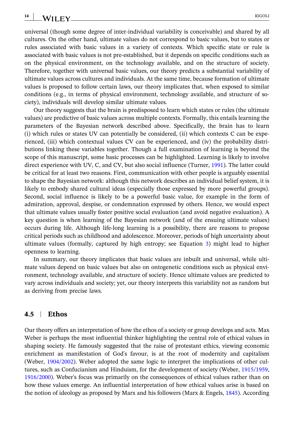**14**

universal (though some degree of inter‐individual variability is conceivable) and shared by all cultures. On the other hand, ultimate values do not correspond to basic values, but to states or rules associated with basic values in a variety of contexts. Which specific state or rule is associated with basic values is not pre‐established, but it depends on specific conditions such as on the physical environment, on the technology available, and on the structure of society. Therefore, together with universal basic values, our theory predicts a substantial variability of ultimate values across cultures and individuals. At the same time, because formation of ultimate values is proposed to follow certain laws, our theory implicates that, when exposed to similar conditions (e.g., in terms of physical environment, technology available, and structure of society), individuals will develop similar ultimate values.

Our theory suggests that the brain is predisposed to learn which states or rules (the ultimate values) are predictive of basic values across multiple contexts. Formally, this entails learning the parameters of the Bayesian network described above. Specifically, the brain has to learn (i) which rules or states UV can potentially be considered, (ii) which contexts C can be experienced, (iii) which contextual values CV can be experienced, and (iv) the probability distributions linking these variables together. Though a full examination of learning is beyond the scope of this manuscript, some basic processes can be highlighted. Learning is likely to involve direct experience with UV, C, and CV, but also social influence (Turner, [1991](#page-21-0)). The latter could be critical for at least two reasons. First, communication with other people is arguably essential to shape the Bayesian network: although this network describes an individual belief system, it is likely to embody shared cultural ideas (especially those expressed by more powerful groups). Second, social influence is likely to be a powerful basic value, for example in the form of admiration, approval, despise, or condemnation expressed by others. Hence, we would expect that ultimate values usually foster positive social evaluation (and avoid negative evaluation). A key question is when learning of the Bayesian network (and of the ensuing ultimate values) occurs during life. Although life‐long learning is a possibility, there are reasons to propose critical periods such as childhood and adolescence. Moreover, periods of high uncertainty about ultimate values (formally, captured by high entropy; see Equation [3\)](#page-8-0) might lead to higher openness to learning.

In summary, our theory implicates that basic values are inbuilt and universal, while ultimate values depend on basic values but also on ontogenetic conditions such as physical environment, technology available, and structure of society. Hence ultimate values are predicted to vary across individuals and society; yet, our theory interprets this variability not as random but as deriving from precise laws.

#### **4.5** <sup>|</sup> **Ethos**

Our theory offers an interpretation of how the ethos of a society or group develops and acts. Max Weber is perhaps the most influential thinker highlighting the central role of ethical values in shaping society. He famously suggested that the raise of protestant ethics, viewing economic enrichment as manifestation of God's favour, is at the root of modernity and capitalism (Weber, [1904/2002\)](#page-21-0). Weber adopted the same logic to interpret the implications of other cultures, such as Confucianism and Hinduism, for the development of society (Weber, [1915/1959,](#page-21-0) [1916/2000\)](#page-21-0). Weber's focus was primarily on the consequences of ethical values rather than on how these values emerge. An influential interpretation of how ethical values arise is based on the notion of ideology as proposed by Marx and his followers (Marx & Engels, [1845](#page-20-0)). According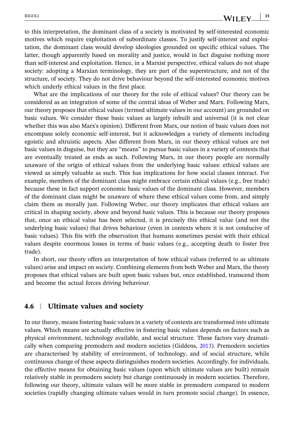to this interpretation, the dominant class of a society is motivated by self‐interested economic motives which require exploitation of subordinate classes. To justify self-interest and exploitation, the dominant class would develop ideologies grounded on specific ethical values. The latter, though apparently based on morality and justice, would in fact disguise nothing more than self‐interest and exploitation. Hence, in a Marxist perspective, ethical values do not shape society: adopting a Marxian terminology, they are part of the superstructure, and not of the structure, of society. They do not drive behaviour beyond the self‐interested economic motives which underly ethical values in the first place.

What are the implications of our theory for the role of ethical values? Our theory can be considered as an integration of some of the central ideas of Weber and Marx. Following Marx, our theory proposes that ethical values (termed ultimate values in our account) are grounded on basic values. We consider these basic values as largely inbuilt and universal (it is not clear whether this was also Marx's opinion). Different from Marx, our notion of basic values does not encompass solely economic self‐interest, but it acknowledges a variety of elements including egoistic and altruistic aspects. Also different from Marx, in our theory ethical values are not basic values in disguise, but they are "means" to pursue basic values in a variety of contexts that are eventually treated as ends as such. Following Marx, in our theory people are normally unaware of the origin of ethical values from the underlying basic values: ethical values are viewed as simply valuable as such. This has implications for how social classes interact. For example, members of the dominant class might embrace certain ethical values (e.g., free trade) because these in fact support economic basic values of the dominant class. However, members of the dominant class might be unaware of where these ethical values come from, and simply claim them as morally just. Following Weber, our theory implicates that ethical values are critical in shaping society, above and beyond basic values. This is because our theory proposes that, once an ethical value has been selected, it is precisely this ethical value (and not the underlying basic values) that drives behaviour (even in contexts where it is not conducive of basic values). This fits with the observation that humans sometimes persist with their ethical values despite enormous losses in terms of basic values (e.g., accepting death to foster free trade).

In short, our theory offers an interpretation of how ethical values (referred to as ultimate values) arise and impact on society. Combining elements from both Weber and Marx, the theory proposes that ethical values are built upon basic values but, once established, transcend them and become the actual forces driving behaviour.

#### **4.6** <sup>|</sup> **Ultimate values and society**

In our theory, means fostering basic values in a variety of contexts are transformed into ultimate values. Which means are actually effective in fostering basic values depends on factors such as physical environment, technology available, and social structure. These factors vary dramatically when comparing premodern and modern societies (Giddens, [2013\)](#page-20-0). Premodern societies are characterised by stability of environment, of technology, and of social structure, while continuous change of these aspects distinguishes modern societies. Accordingly, for individuals, the effective means for obtaining basic values (upon which ultimate values are built) remain relatively stable in premodern society but change continuously in modern societies. Therefore, following our theory, ultimate values will be more stable in premodern compared to modern societies (rapidly changing ultimate values would in turn promote social change). In essence,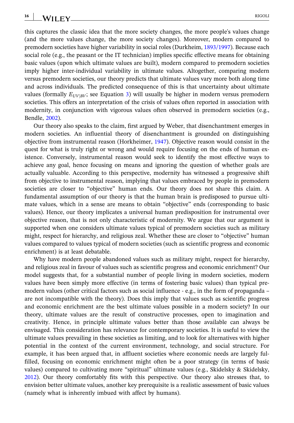**16** WILEY RIGOLI

this captures the classic idea that the more society changes, the more people's values change (and the more values change, the more society changes). Moreover, modern compared to premodern societies have higher variability in social roles (Durkheim, [1893/1997\)](#page-20-0). Because each social role (e.g., the peasant or the IT technician) implies specific effective means for obtaining basic values (upon which ultimate values are built), modern compared to premodern societies imply higher inter‐individual variability in ultimate values. Altogether, comparing modern versus premodern societies, our theory predicts that ultimate values vary more both along time and across individuals. The predicted consequence of this is that uncertainty about ultimate values (formally  $E_{UV|BU}$ ; see Equation [3](#page-8-0)) will usually be higher in modern versus premodern societies. This offers an interpretation of the crisis of values often reported in association with modernity, in conjunction with vigorous values often observed in premodern societies (e.g., Bendle, [2002](#page-20-0)).

Our theory also speaks to the claim, first argued by Weber, that disenchantment emerges in modern societies. An influential theory of disenchantment is grounded on distinguishing objective from instrumental reason (Horkheimer, [1947](#page-20-0)). Objective reason would consist in the quest for what is truly right or wrong and would require focusing on the ends of human existence. Conversely, instrumental reason would seek to identify the most effective ways to achieve any goal, hence focusing on means and ignoring the question of whether goals are actually valuable. According to this perspective, modernity has witnessed a progressive shift from objective to instrumental reason, implying that values embraced by people in premodern societies are closer to "objective" human ends. Our theory does not share this claim. A fundamental assumption of our theory is that the human brain is predisposed to pursue ultimate values, which in a sense are means to obtain "objective" ends (corresponding to basic values). Hence, our theory implicates a universal human predisposition for instrumental over objective reason, that is not only characteristic of modernity. We argue that our argument is supported when one considers ultimate values typical of premodern societies such as military might, respect for hierarchy, and religious zeal. Whether these are closer to "objective" human values compared to values typical of modern societies (such as scientific progress and economic enrichment) is at least debatable.

Why have modern people abandoned values such as military might, respect for hierarchy, and religious zeal in favour of values such as scientific progress and economic enrichment? Our model suggests that, for a substantial number of people living in modern societies, modern values have been simply more effective (in terms of fostering basic values) than typical premodern values (other critical factors such as social influence ‐ e.g., in the form of propaganda – are not incompatible with the theory). Does this imply that values such as scientific progress and economic enrichment are the best ultimate values possible in a modern society? In our theory, ultimate values are the result of constructive processes, open to imagination and creativity. Hence, in principle ultimate values better than those available can always be envisaged. This consideration has relevance for contemporary societies. It is useful to view the ultimate values prevailing in these societies as limiting, and to look for alternatives with higher potential in the context of the current environment, technology, and social structure. For example, it has been argued that, in affluent societies where economic needs are largely fulfilled, focusing on economic enrichment might often be a poor strategy (in terms of basic values) compared to cultivating more "spiritual" ultimate values (e.g., Skidelsky & Skidelsky, [2012](#page-21-0)). Our theory comfortably fits with this perspective. Our theory also stresses that, to envision better ultimate values, another key prerequisite is a realistic assessment of basic values (namely what is inherently imbued with affect by humans).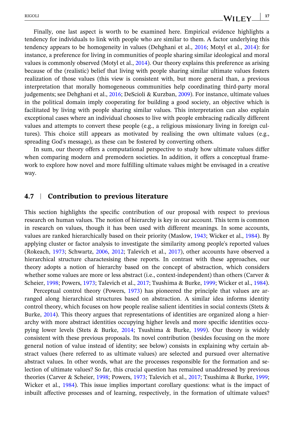Finally, one last aspect is worth to be examined here. Empirical evidence highlights a tendency for individuals to link with people who are similar to them. A factor underlying this tendency appears to be homogeneity in values (Dehghani et al., [2016;](#page-20-0) Motyl et al., [2014\)](#page-20-0): for instance, a preference for living in communities of people sharing similar ideological and moral values is commonly observed (Motyl et al., [2014](#page-20-0)). Our theory explains this preference as arising because of the (realistic) belief that living with people sharing similar ultimate values fosters realization of those values (this view is consistent with, but more general than, a previous interpretation that morally homogeneous communities help coordinating third‐party moral judgements; see Dehghani et al., [2016;](#page-20-0) DeScioli & Kurzban, [2009\)](#page-20-0). For instance, ultimate values in the political domain imply cooperating for building a good society, an objective which is facilitated by living with people sharing similar values. This interpretation can also explain exceptional cases where an individual chooses to live with people embracing radically different values and attempts to convert these people (e.g., a religious missionary living in foreign cultures). This choice still appears as motivated by realising the own ultimate values (e.g., spreading God's message), as these can be fostered by converting others.

In sum, our theory offers a computational perspective to study how ultimate values differ when comparing modern and premodern societies. In addition, it offers a conceptual framework to explore how novel and more fulfilling ultimate values might be envisaged in a creative way.

#### **4.7** <sup>|</sup> **Contribution to previous literature**

This section highlights the specific contribution of our proposal with respect to previous research on human values. The notion of hierarchy is key in our account. This term is common in research on values, though it has been used with different meanings. In some accounts, values are ranked hierarchically based on their priority (Maslow, [1943;](#page-20-0) Wicker et al., [1984](#page-22-0)). By applying cluster or factor analysis to investigate the similarity among people's reported values (Rokeach, [1973;](#page-21-0) Schwartz, [2006,](#page-21-0) [2012;](#page-21-0) Talevich et al., [2017\)](#page-21-0), other accounts have observed a hierarchical structure charactesising these reports. In contrast with these approaches, our theory adopts a notion of hierarchy based on the concept of abstraction, which considers whether some values are more or less abstract (i.e., context-independent) than others (Carver  $\&$ Scheier, [1998](#page-20-0); Powers, [1973;](#page-21-0) Talevich et al., [2017;](#page-21-0) Tsushima & Burke, [1999](#page-21-0); Wicker et al., [1984](#page-22-0)).

Perceptual control theory (Powers, [1973\)](#page-21-0) has pioneered the principle that values are arranged along hierarchical structures based on abstraction. A similar idea informs identity control theory, which focuses on how people realise salient identities in social contexts (Stets & Burke, [2014\)](#page-21-0). This theory argues that representations of identities are organized along a hierarchy with more abstract identities occupying higher levels and more specific identities occupying lower levels (Stets & Burke, [2014](#page-21-0); Tsushima & Burke, [1999](#page-21-0)). Our theory is widely consistent with these previous proposals. Its novel contribution (besides focusing on the more general notion of value instead of identity; see below) consists in explaining why certain abstract values (here referred to as ultimate values) are selected and pursued over alternative abstract values. In other words, what are the processes responsible for the formation and selection of ultimate values? So far, this crucial question has remained unaddressed by previous theories (Carver & Scheier, [1998;](#page-20-0) Powers, [1973](#page-21-0); Talevich et al., [2017;](#page-21-0) Tsushima & Burke, [1999;](#page-21-0) Wicker et al., [1984\)](#page-22-0). This issue implies important corollary questions: what is the impact of inbuilt affective processes and of learning, respectively, in the formation of ultimate values?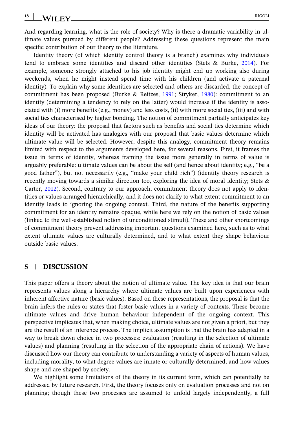WILEY RIGOLI

**18**

Identity theory (of which identity control theory is a branch) examines why individuals tend to embrace some identities and discard other identities (Stets & Burke, [2014\)](#page-21-0). For example, someone strongly attached to his job identity might end up working also during weekends, when he might instead spend time with his children (and activate a paternal identity). To explain why some identities are selected and others are discarded, the concept of commitment has been proposed (Burke & Reitzes, [1991;](#page-20-0) Stryker, [1980\)](#page-21-0): commitment to an identity (determining a tendency to rely on the latter) would increase if the identity is associated with (i) more benefits (e.g., money) and less costs, (ii) with more social ties, (iii) and with social ties characterised by higher bonding. The notion of commitment partially anticipates key ideas of our theory: the proposal that factors such as benefits and social ties determine which identity will be activated has analogies with our proposal that basic values determine which ultimate value will be selected. However, despite this analogy, commitment theory remains limited with respect to the arguments developed here, for several reasons. First, it frames the issue in terms of identity, whereas framing the issue more generally in terms of value is arguably preferable: ultimate values can be about the self (and hence about identity; e.g., "be a good father"), but not necessarily (e.g., "make your child rich") (identity theory research is recently moving towards a similar direction too, exploring the idea of moral identity; Stets & Carter, [2012](#page-21-0)). Second, contrary to our approach, commitment theory does not apply to identities or values arranged hierarchically, and it does not clarify to what extent commitment to an identity leads to ignoring the ongoing context. Third, the nature of the benefits supporting commitment for an identity remains opaque, while here we rely on the notion of basic values (linked to the well‐established notion of unconditioned stimuli). These and other shortcomings of commitment theory prevent addressing important questions examined here, such as to what extent ultimate values are culturally determined, and to what extent they shape behaviour outside basic values.

## **5** <sup>|</sup> **DISCUSSION**

This paper offers a theory about the notion of ultimate value. The key idea is that our brain represents values along a hierarchy where ultimate values are built upon experiences with inherent affective nature (basic values). Based on these representations, the proposal is that the brain infers the rules or states that foster basic values in a variety of contexts. These become ultimate values and drive human behaviour independent of the ongoing context. This perspective implicates that, when making choice, ultimate values are not given a priori, but they are the result of an inference process. The implicit assumption is that the brain has adapted in a way to break down choice in two processes: evaluation (resulting in the selection of ultimate values) and planning (resulting in the selection of the appropriate chain of actions). We have discussed how our theory can contribute to understanding a variety of aspects of human values, including morality, to what degree values are innate or culturally determined, and how values shape and are shaped by society.

We highlight some limitations of the theory in its current form, which can potentially be addressed by future research. First, the theory focuses only on evaluation processes and not on planning; though these two processes are assumed to unfold largely independently, a full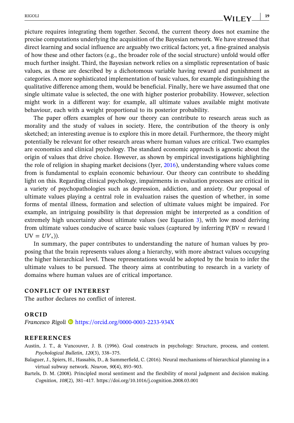<span id="page-19-0"></span>picture requires integrating them together. Second, the current theory does not examine the precise computations underlying the acquisition of the Bayesian network. We have stressed that direct learning and social influence are arguably two critical factors; yet, a fine‐grained analysis of how these and other factors (e.g., the broader role of the social structure) unfold would offer much further insight. Third, the Bayesian network relies on a simplistic representation of basic values, as these are described by a dichotomous variable having reward and punishment as categories. A more sophisticated implementation of basic values, for example distinguishing the qualitative difference among them, would be beneficial. Finally, here we have assumed that one single ultimate value is selected, the one with higher posterior probability. However, selection might work in a different way: for example, all ultimate values available might motivate behaviour, each with a weight proportional to its posterior probability.

The paper offers examples of how our theory can contribute to research areas such as morality and the study of values in society. Here, the contribution of the theory is only sketched; an interesting avenue is to explore this in more detail. Furthermore, the theory might potentially be relevant for other research areas where human values are critical. Two examples are economics and clinical psychology. The standard economic approach is agnostic about the origin of values that drive choice. However, as shown by empirical investigations highlighting the role of religion in shaping market decisions (Iyer, [2016\)](#page-20-0), understanding where values come from is fundamental to explain economic behaviour. Our theory can contribute to shedding light on this. Regarding clinical psychology, impairments in evaluation processes are critical in a variety of psychopathologies such as depression, addiction, and anxiety. Our proposal of ultimate values playing a central role in evaluation raises the question of whether, in some forms of mental illness, formation and selection of ultimate values might be impaired. For example, an intriguing possibility is that depression might be interpreted as a condition of extremely high uncertainty about ultimate values (see Equation [3\)](#page-8-0), with low mood deriving from ultimate values conducive of scarce basic values (captured by inferring  $P(BV = reward |$  $UV = UV_*$ )).

In summary, the paper contributes to understanding the nature of human values by proposing that the brain represents values along a hierarchy, with more abstract values occupying the higher hierarchical level. These representations would be adopted by the brain to infer the ultimate values to be pursued. The theory aims at contributing to research in a variety of domains where human values are of critical importance.

#### **CONFLICT OF INTEREST**

The author declares no conflict of interest.

#### **ORCID**

*Francesco Rigoli* <https://orcid.org/0000-0003-2233-934X>

#### **REFERENCES**

- Austin, J. T., & Vancouver, J. B. (1996). Goal constructs in psychology: Structure, process, and content. *Psychological Bulletin*, *120*(3), 338–375.
- Balaguer, J., Spiers, H., Hassabis, D., & Summerfield, C. (2016). Neural mechanisms of hierarchical planning in a virtual subway network. *Neuron*, *90*(4), 893–903.
- Bartels, D. M. (2008). Principled moral sentiment and the flexibility of moral judgment and decision making. *Cognition*, *108*(2), 381–417. <https://doi.org/10.1016/j.cognition.2008.03.001>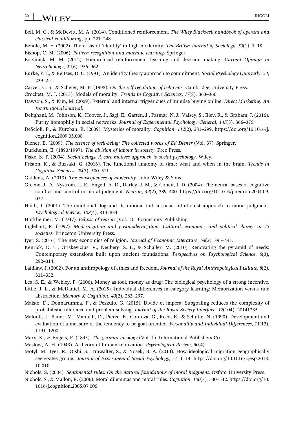#### <span id="page-20-0"></span>**20** WILEY RIGOLI

- Bell, M. C., & McDevitt, M. A. (2014). Conditioned reinforcement. *The Wiley Blackwell handbook of operant and classical conditioning*, pp. 221–248.
- Bendle, M. F. (2002). The crisis of 'identity' in high modernity. *The British Journal of Sociology*, *53*(1), 1–18.

Bishop, C. M. (2006). *Pattern recognition and machine learning*. Springer.

- Botvinick, M. M. (2012). Hierarchical reinforcement learning and decision making. *Current Opinion in Neurobiology*, *22*(6), 956–962.
- Burke, P. J., & Reitzes, D. C. (1991). An identity theory approach to commitment. *Social Psychology Quarterly*, *54*, 239–251.
- Carver, C. S., & Scheier, M. F. (1998). *On the self‐regulation of behavior*. Cambridge University Press.
- Crockett, M. J. (2013). Models of morality. *Trends in Cognitive Sciences*, *17*(8), 363–366.
- Dawson, S., & Kim, M. (2009). External and internal trigger cues of impulse buying online. *Direct Marketing: An International Journal*.
- Dehghani, M., Johnson, K., Hoover, J., Sagi, E., Garten, J., Parmar, N. J., Vaisey, S., Iliev, R., & Graham, J. (2016). Purity homophily in social networks. *Journal of Experimental Psychology: General*, *145*(3), 366–375.
- DeScioli, P., & Kurzban, R. (2009). Mysteries of morality. *Cognition*, *112*(2), 281–299. [https://doi.org/10.1016/j.](https://doi.org/10.1016/j.cognition.2009.05.008) [cognition.2009.05.008](https://doi.org/10.1016/j.cognition.2009.05.008)
- Diener, E. (2009). *The science of well‐being: The collected works of Ed Diener* (Vol. 37). Springer.
- Durkheim, É. (1893/1997). *The division of labour in society*. Free Press.
- Fiske, S. T. (2004). *Social beings: A core motives approach to social psychology*. Wiley.
- Friston, K., & Buzsáki, G. (2016). The functional anatomy of time: what and when in the brain. *Trends in Cognitive Sciences*, *20*(7), 500–511.
- Giddens, A. (2013). *The consequences of modernity*. John Wiley & Sons.
- Greene, J. D., Nystrom, L. E., Engell, A. D., Darley, J. M., & Cohen, J. D. (2004). The neural bases of cognitive conflict and control in moral judgment. *Neuron*, *44*(2), 389–400. [https://doi.org/10.1016/j.neuron.2004.09.](https://doi.org/10.1016/j.neuron.2004.09.027) [027](https://doi.org/10.1016/j.neuron.2004.09.027)
- Haidt, J. (2001). The emotional dog and its rational tail: a social intuitionist approach to moral judgment. *Psychological Review*, *108*(4), 814–834.
- Horkheimer, M. (1947). *Eclipse of reason* (Vol. 1). Bloomsbury Publishing.
- Inglehart, R. (1997). *Modernization and postmodernization: Cultural, economic, and political change in 43 societies*. Princeton University Press.
- Iyer, S. (2016). The new economics of religion. *Journal of Economic Literature*, *54*(2), 395–441.
- Kenrick, D. T., Griskevicius, V., Neuberg, S. L., & Schaller, M. (2010). Renovating the pyramid of needs: Contemporary extensions built upon ancient foundations. *Perspectives on Psychological Science*, *5*(3), 292–314.
- Laidlaw, J. (2002). For an anthropology of ethics and freedom. *Journal of the Royal Anthropological Institute*, *8*(2), 311–332.
- Lea, S. E., & Webley, P. (2006). Money as tool, money as drug: The biological psychology of a strong incentive.
- Little, J. L., & McDaniel, M. A. (2015). Individual differences in category learning: Memorization versus rule abstraction. *Memory & Cognition*, *43*(2), 283–297.
- Maisto, D., Donnarumma, F., & Pezzulo, G. (2015). Divide et impera: Subgoaling reduces the complexity of probabilistic inference and problem solving. *Journal of the Royal Society Interface*, *12*(104), 20141335.
- Malouff, J., Bauer, M., Mantelli, D., Pierce, B., Cordova, G., Reed, E., & Schutte, N. (1990). Development and evaluation of a measure of the tendency to be goal oriented. *Personality and Individual Differences*, *11*(12), 1191–1200.
- Marx, K., & Engels, F. (1845). *The german ideology* (Vol. 1). International Publishers Co.
- Maslow, A. H. (1943). A theory of human motivation. *Psychological Review*, *50*(4).
- Motyl, M., Iyer, R., Oishi, S., Trawalter, S., & Nosek, B. A. (2014). How ideological migration geographically segregates groups. *Journal of Experimental Social Psychology, 51*, 1–14. [https://doi.org/10.1016/j.jesp.2013.](https://doi.org/10.1016/j.jesp.2013.10.010) [10.010](https://doi.org/10.1016/j.jesp.2013.10.010)
- Nichols, S. (2004). *Sentimental rules: On the natural foundations of moral judgment*. Oxford University Press.
- Nichols, S., & Mallon, R. (2006). Moral dilemmas and moral rules. *Cognition*, *100*(3), 530–542. [https://doi.org/10.](https://doi.org/10.1016/j.cognition.2005.07.005) [1016/j.cognition.2005.07.005](https://doi.org/10.1016/j.cognition.2005.07.005)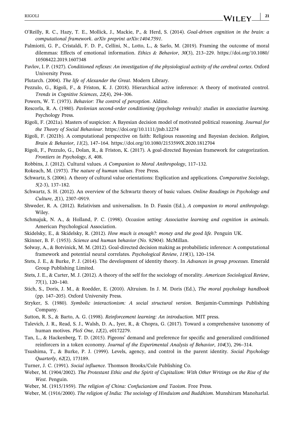- <span id="page-21-0"></span>O'Reilly, R. C., Hazy, T. E., Mollick, J., Mackie, P., & Herd, S. (2014). *Goal‐driven cognition in the brain: a computational framework*. *arXiv preprint arXiv:1404.7591*.
- Palmiotti, G. P., Cristaldi, F. D. P., Cellini, N., Lotto, L., & Sarlo, M. (2019). Framing the outcome of moral dilemmas: Effects of emotional information. *Ethics & Behavior*, *30*(3), 213–229. [https://doi.org/10.1080/](https://doi.org/10.1080/10508422.2019.1607348) [10508422.2019.1607348](https://doi.org/10.1080/10508422.2019.1607348)
- Pavlov, I. P. (1927). *Conditioned reflexes: An investigation of the physiological activity of the cerebral cortex*. Oxford University Press.
- Plutarch. (2004). *The life of Alexander the Great*. Modern Library.
- Pezzulo, G., Rigoli, F., & Friston, K. J. (2018). Hierarchical active inference: A theory of motivated control. *Trends in Cognitive Sciences*, *22*(4), 294–306.
- Powers, W. T. (1973). *Behavior: The control of perception*. Aldine.
- Rescorla, R. A. (1980). *Pavlovian second‐order conditioning (psychology revivals): studies in associative learning*. Psychology Press.
- Rigoli, F. (2021a). Masters of suspicion: A Bayesian decision model of motivated political reasoning. *Journal for the Theory of Social Behaviour*. <https://doi.org/10.1111/jtsb.12274>
- Rigoli, F. (2021b). A computational perspective on faith: Religious reasoning and Bayesian decision. *Religion, Brain & Behavior*, *11*(2), 147–164. <https://doi.org/10.1080/2153599X.2020.1812704>
- Rigoli, F., Pezzulo, G., Dolan, R., & Friston, K. (2017). A goal‐directed Bayesian framework for categorization. *Frontiers in Psychology*, *8*, 408.
- Robbins, J. (2012). Cultural values. *A Companion to Moral Anthropology*, 117–132.
- Rokeach, M. (1973). *The nature of human values*. Free Press.
- Schwartz, S. (2006). A theory of cultural value orientations: Explication and applications. *Comparative Sociology*, *5*(2‐3), 137–182.
- Schwartz, S. H. (2012). An overview of the Schwartz theory of basic values. *Online Readings in Psychology and Culture*, *2*(1), 2307–0919.
- Shweder, R. A. (2012). Relativism and universalism. In D. Fassin (Ed.), *A companion to moral anthropology*. Wiley.
- Schmajuk, N. A., & Holland, P. C. (1998). *Occasion setting: Associative learning and cognition in animals*. American Psychological Association.
- Skidelsky, E., & Skidelsky, R. (2012). *How much is enough?: money and the good life*. Penguin UK.
- Skinner, B. F. (1953). *Science and human behavior (No. 92904)*. McMillan.
- Solway, A., & Botvinick, M. M. (2012). Goal‐directed decision making as probabilistic inference: A computational framework and potential neural correlates. *Psychological Review*, *119*(1), 120–154.
- Stets, J. E., & Burke, P. J. (2014). The development of identity theory. In *Advances in group processes*. Emerald Group Publishing Limited.
- Stets, J. E., & Carter, M. J. (2012). A theory of the self for the sociology of morality. *American Sociological Review*, *77*(1), 120–140.
- Stich, S., Doris, J. M., & Roedder, E. (2010). Altruism. In J. M. Doris (Ed.), *The moral psychology handbook* (pp. 147–205). Oxford University Press.
- Stryker, S. (1980). *Symbolic interactionism: A social structural version*. Benjamin‐Cummings Publishing Company.
- Sutton, R. S., & Barto, A. G. (1998). *Reinforcement learning: An introduction*. MIT press.
- Talevich, J. R., Read, S. J., Walsh, D. A., Iyer, R., & Chopra, G. (2017). Toward a comprehensive taxonomy of human motives. *PloS One*, *12*(2), e0172279.
- Tan, L., & Hackenberg, T. D. (2015). Pigeons' demand and preference for specific and generalized conditioned reinforcers in a token economy. *Journal of the Experimental Analysis of Behavior*, *104*(3), 296–314.
- Tsushima, T., & Burke, P. J. (1999). Levels, agency, and control in the parent identity. *Social Psychology Quarterly*, *62*(2), 173189.
- Turner, J. C. (1991). *Social influence*. Thomson Brooks/Cole Publishing Co.
- Weber, M. (1904/2002). *The Protestant Ethic and the Spirit of Capitalism: With Other Writings on the Rise of the West*. Penguin.
- Weber, M. (1915/1959). *The religion of China: Confucianism and Taoism*. Free Press.
- Weber, M. (1916/2000). *The religion of India: The sociology of Hinduism and Buddhism*. Munshiram Manoharlal.